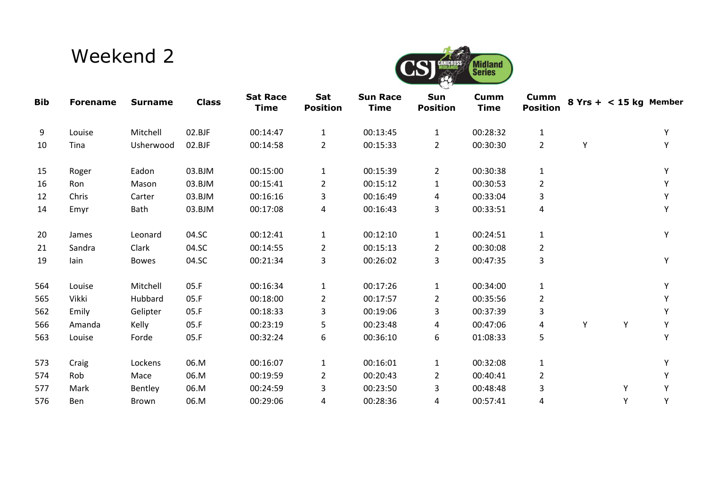## Weekend 2



| <b>Bib</b> | <b>Forename</b> | <b>Surname</b> | <b>Class</b> | <b>Sat Race</b><br><b>Time</b> | Sat<br><b>Position</b> | <b>Sun Race</b><br><b>Time</b> | Sun<br><b>Position</b> | Cumm<br><b>Time</b> | Cumm<br><b>Position</b> |   | $8$ Yrs + < 15 kg Member |   |
|------------|-----------------|----------------|--------------|--------------------------------|------------------------|--------------------------------|------------------------|---------------------|-------------------------|---|--------------------------|---|
| 9          | Louise          | Mitchell       | 02.BJF       | 00:14:47                       | $\mathbf{1}$           | 00:13:45                       | $\mathbf{1}$           | 00:28:32            | $\mathbf{1}$            |   |                          | Y |
| 10         | Tina            | Usherwood      | 02.BJF       | 00:14:58                       | $\overline{2}$         | 00:15:33                       | $\overline{2}$         | 00:30:30            | $\overline{2}$          | Y |                          | Y |
| 15         | Roger           | Eadon          | 03.BJM       | 00:15:00                       | $\mathbf{1}$           | 00:15:39                       | $\overline{2}$         | 00:30:38            | $\mathbf{1}$            |   |                          |   |
| 16         | Ron             | Mason          | 03.BJM       | 00:15:41                       | $\overline{2}$         | 00:15:12                       | 1                      | 00:30:53            | $\overline{2}$          |   |                          |   |
| 12         | Chris           | Carter         | 03.BJM       | 00:16:16                       | 3                      | 00:16:49                       | 4                      | 00:33:04            | 3                       |   |                          |   |
| 14         | Emyr            | Bath           | 03.BJM       | 00:17:08                       | 4                      | 00:16:43                       | 3                      | 00:33:51            | 4                       |   |                          | Y |
| 20         | James           | Leonard        | 04.SC        | 00:12:41                       | $\mathbf{1}$           | 00:12:10                       | $\mathbf{1}$           | 00:24:51            | $\mathbf{1}$            |   |                          | Y |
| 21         | Sandra          | Clark          | 04.SC        | 00:14:55                       | $\overline{2}$         | 00:15:13                       | $\overline{2}$         | 00:30:08            | $\overline{2}$          |   |                          |   |
| 19         | lain            | Bowes          | 04.SC        | 00:21:34                       | 3                      | 00:26:02                       | 3                      | 00:47:35            | 3                       |   |                          | Υ |
| 564        | Louise          | Mitchell       | 05.F         | 00:16:34                       | 1                      | 00:17:26                       | $\mathbf{1}$           | 00:34:00            | $\mathbf{1}$            |   |                          |   |
| 565        | Vikki           | Hubbard        | 05.F         | 00:18:00                       | $\overline{2}$         | 00:17:57                       | $\overline{2}$         | 00:35:56            | $\overline{2}$          |   |                          |   |
| 562        | Emily           | Gelipter       | 05.F         | 00:18:33                       | 3                      | 00:19:06                       | 3                      | 00:37:39            | 3                       |   |                          |   |
| 566        | Amanda          | Kelly          | 05.F         | 00:23:19                       | 5                      | 00:23:48                       | 4                      | 00:47:06            | 4                       | Y | Υ                        | Y |
| 563        | Louise          | Forde          | 05.F         | 00:32:24                       | 6                      | 00:36:10                       | 6                      | 01:08:33            | 5                       |   |                          | Y |
| 573        | Craig           | Lockens        | 06.M         | 00:16:07                       | $\mathbf{1}$           | 00:16:01                       | $\mathbf{1}$           | 00:32:08            | $\mathbf{1}$            |   |                          |   |
| 574        | Rob             | Mace           | 06.M         | 00:19:59                       | $\overline{2}$         | 00:20:43                       | 2                      | 00:40:41            | $\overline{2}$          |   |                          |   |
| 577        | Mark            | Bentley        | 06.M         | 00:24:59                       | 3                      | 00:23:50                       | 3                      | 00:48:48            | 3                       |   | Υ                        |   |
| 576        | <b>Ben</b>      | Brown          | 06.M         | 00:29:06                       | 4                      | 00:28:36                       | 4                      | 00:57:41            | 4                       |   | Y                        | Υ |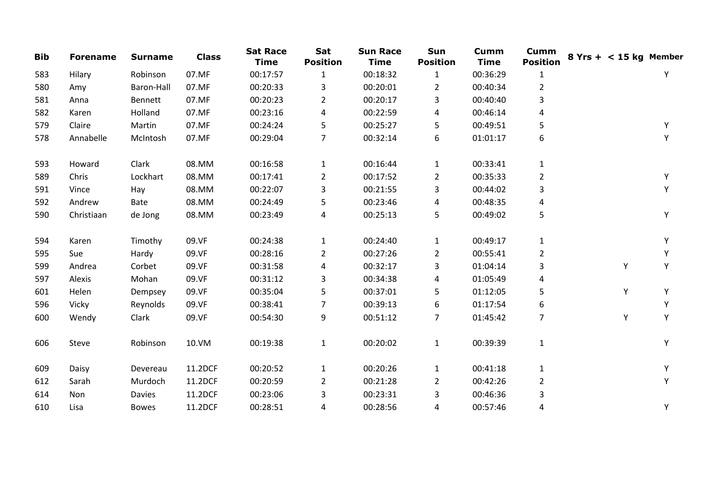| <b>Bib</b> | <b>Forename</b> | <b>Surname</b> | <b>Class</b> | <b>Sat Race</b><br><b>Time</b> | Sat<br><b>Position</b> | <b>Sun Race</b><br><b>Time</b> | Sun<br><b>Position</b> | Cumm<br><b>Time</b> | <b>Cumm</b><br><b>Position</b> | $8$ Yrs + < 15 kg Member |   |   |
|------------|-----------------|----------------|--------------|--------------------------------|------------------------|--------------------------------|------------------------|---------------------|--------------------------------|--------------------------|---|---|
| 583        | Hilary          | Robinson       | 07.MF        | 00:17:57                       | $\mathbf{1}$           | 00:18:32                       | $\mathbf{1}$           | 00:36:29            | $\mathbf{1}$                   |                          |   | Υ |
| 580        | Amy             | Baron-Hall     | 07.MF        | 00:20:33                       | 3                      | 00:20:01                       | $\overline{2}$         | 00:40:34            | $\overline{2}$                 |                          |   |   |
| 581        | Anna            | Bennett        | 07.MF        | 00:20:23                       | $\overline{2}$         | 00:20:17                       | 3                      | 00:40:40            | 3                              |                          |   |   |
| 582        | Karen           | Holland        | 07.MF        | 00:23:16                       | 4                      | 00:22:59                       | 4                      | 00:46:14            | 4                              |                          |   |   |
| 579        | Claire          | Martin         | 07.MF        | 00:24:24                       | 5                      | 00:25:27                       | 5                      | 00:49:51            | 5                              |                          |   | Υ |
| 578        | Annabelle       | McIntosh       | 07.MF        | 00:29:04                       | 7                      | 00:32:14                       | 6                      | 01:01:17            | 6                              |                          |   | Υ |
| 593        | Howard          | Clark          | 08.MM        | 00:16:58                       | $\mathbf{1}$           | 00:16:44                       | $\mathbf{1}$           | 00:33:41            | $\mathbf{1}$                   |                          |   |   |
| 589        | Chris           | Lockhart       | 08.MM        | 00:17:41                       | $\overline{2}$         | 00:17:52                       | $\overline{2}$         | 00:35:33            | $\overline{2}$                 |                          |   | Υ |
| 591        | Vince           | Hay            | 08.MM        | 00:22:07                       | 3                      | 00:21:55                       | 3                      | 00:44:02            | 3                              |                          |   | Υ |
| 592        | Andrew          | Bate           | 08.MM        | 00:24:49                       | 5                      | 00:23:46                       | 4                      | 00:48:35            | 4                              |                          |   |   |
| 590        | Christiaan      | de Jong        | 08.MM        | 00:23:49                       | 4                      | 00:25:13                       | 5                      | 00:49:02            | 5                              |                          |   | Y |
| 594        | Karen           | Timothy        | 09.VF        | 00:24:38                       | $\mathbf{1}$           | 00:24:40                       | $\mathbf{1}$           | 00:49:17            | $\mathbf{1}$                   |                          |   | Υ |
| 595        | Sue             | Hardy          | 09.VF        | 00:28:16                       | $\overline{2}$         | 00:27:26                       | $\overline{2}$         | 00:55:41            | $\overline{2}$                 |                          |   | Υ |
| 599        | Andrea          | Corbet         | 09.VF        | 00:31:58                       | 4                      | 00:32:17                       | 3                      | 01:04:14            | 3                              |                          | Y | Υ |
| 597        | Alexis          | Mohan          | 09.VF        | 00:31:12                       | 3                      | 00:34:38                       | 4                      | 01:05:49            | 4                              |                          |   |   |
| 601        | Helen           | Dempsey        | 09.VF        | 00:35:04                       | 5                      | 00:37:01                       | 5                      | 01:12:05            | 5                              |                          | Y | Υ |
| 596        | Vicky           | Reynolds       | 09.VF        | 00:38:41                       | 7                      | 00:39:13                       | 6                      | 01:17:54            | 6                              |                          |   | Υ |
| 600        | Wendy           | Clark          | 09.VF        | 00:54:30                       | 9                      | 00:51:12                       | $\overline{7}$         | 01:45:42            | $\overline{7}$                 |                          | Υ | Υ |
| 606        | Steve           | Robinson       | 10.VM        | 00:19:38                       | $\mathbf{1}$           | 00:20:02                       | $\mathbf{1}$           | 00:39:39            | $\mathbf{1}$                   |                          |   | Υ |
| 609        | Daisy           | Devereau       | 11.2DCF      | 00:20:52                       | $\mathbf{1}$           | 00:20:26                       | $\mathbf{1}$           | 00:41:18            | $\mathbf{1}$                   |                          |   | Υ |
| 612        | Sarah           | Murdoch        | 11.2DCF      | 00:20:59                       | $\overline{2}$         | 00:21:28                       | $\overline{2}$         | 00:42:26            | $\overline{2}$                 |                          |   | Υ |
| 614        | Non             | Davies         | 11.2DCF      | 00:23:06                       | 3                      | 00:23:31                       | 3                      | 00:46:36            | 3                              |                          |   |   |
| 610        | Lisa            | <b>Bowes</b>   | 11.2DCF      | 00:28:51                       | 4                      | 00:28:56                       | 4                      | 00:57:46            | 4                              |                          |   | Υ |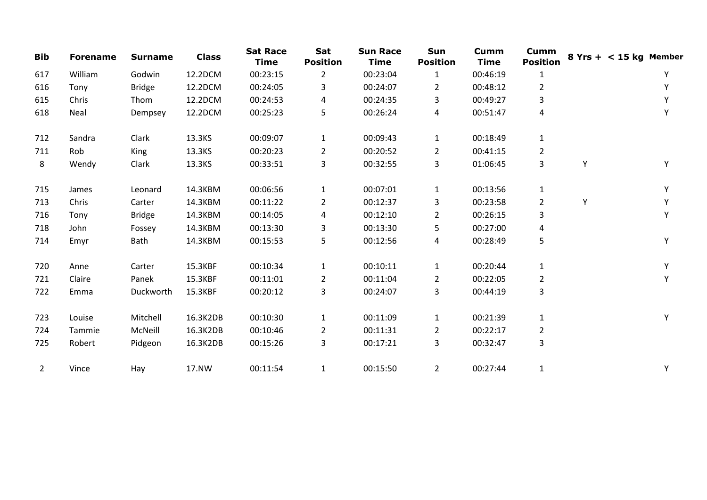| <b>Bib</b>     | <b>Forename</b> | <b>Surname</b> | <b>Class</b> | <b>Sat Race</b><br><b>Time</b> | Sat<br><b>Position</b> | <b>Sun Race</b><br><b>Time</b> | Sun<br><b>Position</b> | <b>Cumm</b><br><b>Time</b> | <b>Cumm</b><br><b>Position</b> |   | $8$ Yrs + < 15 kg Member |
|----------------|-----------------|----------------|--------------|--------------------------------|------------------------|--------------------------------|------------------------|----------------------------|--------------------------------|---|--------------------------|
| 617            | William         | Godwin         | 12.2DCM      | 00:23:15                       | $\overline{2}$         | 00:23:04                       | $\mathbf{1}$           | 00:46:19                   | 1                              |   | Y                        |
| 616            | Tony            | <b>Bridge</b>  | 12.2DCM      | 00:24:05                       | 3                      | 00:24:07                       | 2                      | 00:48:12                   | $\overline{2}$                 |   | Y                        |
| 615            | Chris           | Thom           | 12.2DCM      | 00:24:53                       | 4                      | 00:24:35                       | 3                      | 00:49:27                   | 3                              |   | Υ                        |
| 618            | Neal            | Dempsey        | 12.2DCM      | 00:25:23                       | 5                      | 00:26:24                       | 4                      | 00:51:47                   | 4                              |   | Υ                        |
| 712            | Sandra          | Clark          | 13.3KS       | 00:09:07                       | $\mathbf{1}$           | 00:09:43                       | $\mathbf{1}$           | 00:18:49                   | $\mathbf{1}$                   |   |                          |
| 711            | Rob             | King           | 13.3KS       | 00:20:23                       | $\overline{2}$         | 00:20:52                       | $\overline{2}$         | 00:41:15                   | $\overline{2}$                 |   |                          |
| 8              | Wendy           | Clark          | 13.3KS       | 00:33:51                       | 3                      | 00:32:55                       | 3                      | 01:06:45                   | 3                              | Y | Y                        |
| 715            | James           | Leonard        | 14.3KBM      | 00:06:56                       | $\mathbf{1}$           | 00:07:01                       | $\mathbf{1}$           | 00:13:56                   | $\mathbf{1}$                   |   | Υ                        |
| 713            | Chris           | Carter         | 14.3KBM      | 00:11:22                       | $\overline{2}$         | 00:12:37                       | 3                      | 00:23:58                   | $\overline{2}$                 | Υ | Υ                        |
| 716            | Tony            | <b>Bridge</b>  | 14.3KBM      | 00:14:05                       | 4                      | 00:12:10                       | $\overline{2}$         | 00:26:15                   | 3                              |   | Y                        |
| 718            | John            | Fossey         | 14.3KBM      | 00:13:30                       | 3                      | 00:13:30                       | 5                      | 00:27:00                   | 4                              |   |                          |
| 714            | Emyr            | Bath           | 14.3KBM      | 00:15:53                       | 5                      | 00:12:56                       | 4                      | 00:28:49                   | 5                              |   | Υ                        |
| 720            | Anne            | Carter         | 15.3KBF      | 00:10:34                       | $\mathbf{1}$           | 00:10:11                       | $\mathbf{1}$           | 00:20:44                   | $\mathbf{1}$                   |   | Υ                        |
| 721            | Claire          | Panek          | 15.3KBF      | 00:11:01                       | $\overline{2}$         | 00:11:04                       | $\mathbf{2}$           | 00:22:05                   | $\overline{2}$                 |   | Y                        |
| 722            | Emma            | Duckworth      | 15.3KBF      | 00:20:12                       | 3                      | 00:24:07                       | 3                      | 00:44:19                   | 3                              |   |                          |
| 723            | Louise          | Mitchell       | 16.3K2DB     | 00:10:30                       | $\mathbf{1}$           | 00:11:09                       | $\mathbf{1}$           | 00:21:39                   | $\mathbf 1$                    |   | Υ                        |
| 724            | Tammie          | McNeill        | 16.3K2DB     | 00:10:46                       | $\overline{2}$         | 00:11:31                       | $\overline{2}$         | 00:22:17                   | $\overline{2}$                 |   |                          |
| 725            | Robert          | Pidgeon        | 16.3K2DB     | 00:15:26                       | 3                      | 00:17:21                       | 3                      | 00:32:47                   | 3                              |   |                          |
| $\overline{2}$ | Vince           | Hay            | 17.NW        | 00:11:54                       | $\mathbf{1}$           | 00:15:50                       | $\overline{2}$         | 00:27:44                   | 1                              |   | Υ                        |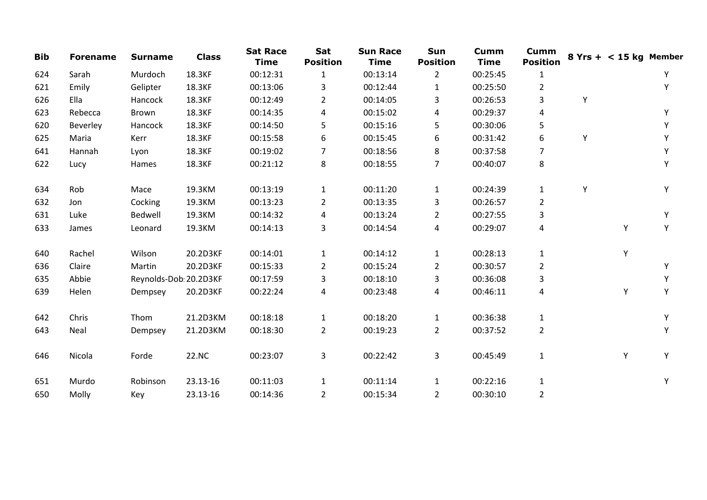| <b>Bib</b> | <b>Forename</b> | <b>Surname</b>         | <b>Class</b> | <b>Sat Race</b><br><b>Time</b> | Sat<br><b>Position</b> | <b>Sun Race</b><br><b>Time</b> | Sun<br><b>Position</b> | <b>Cumm</b><br><b>Time</b> | <b>Cumm</b><br><b>Position</b> |   | $8$ Yrs + < 15 kg Member |   |
|------------|-----------------|------------------------|--------------|--------------------------------|------------------------|--------------------------------|------------------------|----------------------------|--------------------------------|---|--------------------------|---|
| 624        | Sarah           | Murdoch                | 18.3KF       | 00:12:31                       | $\mathbf{1}$           | 00:13:14                       | $\overline{2}$         | 00:25:45                   | $\mathbf{1}$                   |   |                          | Υ |
| 621        | Emily           | Gelipter               | 18.3KF       | 00:13:06                       | 3                      | 00:12:44                       | 1                      | 00:25:50                   | $\overline{2}$                 |   |                          | Υ |
| 626        | Ella            | Hancock                | 18.3KF       | 00:12:49                       | $\overline{2}$         | 00:14:05                       | 3                      | 00:26:53                   | 3                              | Y |                          |   |
| 623        | Rebecca         | Brown                  | 18.3KF       | 00:14:35                       | 4                      | 00:15:02                       | 4                      | 00:29:37                   | 4                              |   |                          | Υ |
| 620        | Beverley        | Hancock                | 18.3KF       | 00:14:50                       | 5                      | 00:15:16                       | 5                      | 00:30:06                   | 5                              |   |                          | Υ |
| 625        | Maria           | Kerr                   | 18.3KF       | 00:15:58                       | 6                      | 00:15:45                       | 6                      | 00:31:42                   | 6                              | Y |                          | Y |
| 641        | Hannah          | Lyon                   | 18.3KF       | 00:19:02                       | 7                      | 00:18:56                       | 8                      | 00:37:58                   | 7                              |   |                          | Υ |
| 622        | Lucy            | Hames                  | 18.3KF       | 00:21:12                       | 8                      | 00:18:55                       | 7                      | 00:40:07                   | 8                              |   |                          | Υ |
| 634        | Rob             | Mace                   | 19.3KM       | 00:13:19                       | $\mathbf{1}$           | 00:11:20                       | $\mathbf{1}$           | 00:24:39                   | $\mathbf{1}$                   | Y |                          | Υ |
| 632        | Jon             | Cocking                | 19.3KM       | 00:13:23                       | $\overline{2}$         | 00:13:35                       | 3                      | 00:26:57                   | $\overline{2}$                 |   |                          |   |
| 631        | Luke            | Bedwell                | 19.3KM       | 00:14:32                       | 4                      | 00:13:24                       | $\overline{2}$         | 00:27:55                   | 3                              |   |                          | Υ |
| 633        | James           | Leonard                | 19.3KM       | 00:14:13                       | 3                      | 00:14:54                       | 4                      | 00:29:07                   | 4                              |   | Υ                        | Υ |
| 640        | Rachel          | Wilson                 | 20.2D3KF     | 00:14:01                       | $\mathbf{1}$           | 00:14:12                       | $\mathbf{1}$           | 00:28:13                   | $\mathbf{1}$                   |   | Υ                        |   |
| 636        | Claire          | Martin                 | 20.2D3KF     | 00:15:33                       | $\overline{2}$         | 00:15:24                       | $\overline{a}$         | 00:30:57                   | 2                              |   |                          | Υ |
| 635        | Abbie           | Reynolds-Dob: 20.2D3KF |              | 00:17:59                       | 3                      | 00:18:10                       | 3                      | 00:36:08                   | 3                              |   |                          | Y |
| 639        | Helen           | Dempsey                | 20.2D3KF     | 00:22:24                       | 4                      | 00:23:48                       | 4                      | 00:46:11                   | 4                              |   | Y                        | Υ |
| 642        | Chris           | Thom                   | 21.2D3KM     | 00:18:18                       | $\mathbf{1}$           | 00:18:20                       | $\mathbf{1}$           | 00:36:38                   | $\mathbf{1}$                   |   |                          | Y |
| 643        | Neal            | Dempsey                | 21.2D3KM     | 00:18:30                       | $\overline{2}$         | 00:19:23                       | $\overline{2}$         | 00:37:52                   | $\overline{2}$                 |   |                          | Υ |
| 646        | Nicola          | Forde                  | 22.NC        | 00:23:07                       | 3                      | 00:22:42                       | 3                      | 00:45:49                   | $\mathbf{1}$                   |   | Υ                        | Y |
| 651        | Murdo           | Robinson               | 23.13-16     | 00:11:03                       | $\mathbf{1}$           | 00:11:14                       | $\mathbf{1}$           | 00:22:16                   | $\mathbf{1}$                   |   |                          | Υ |
| 650        | Molly           | Key                    | 23.13-16     | 00:14:36                       | $\overline{2}$         | 00:15:34                       | $\overline{2}$         | 00:30:10                   | $\overline{2}$                 |   |                          |   |